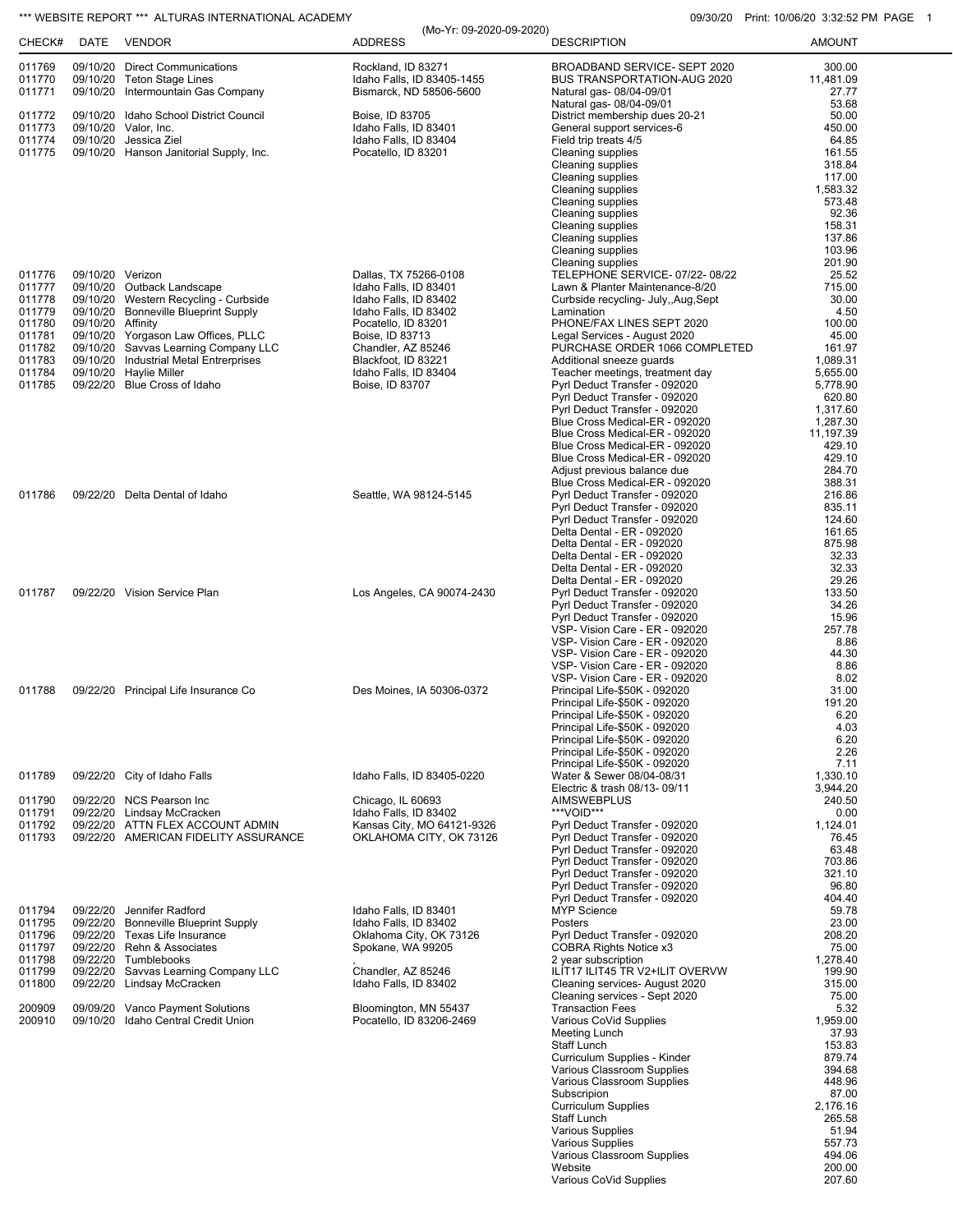## \*\*\* WEBSITE REPORT \*\*\* ALTURAS INTERNATIONAL ACADEMY **CONSUMENT CONSUMING THE CONSUMING OSCILLATE** 10/06/20 3:32:52 PM PAGE 1 (Mo-Yr: 09-2020-09-2020)

| CHECK#                     | DATE              | <b>VENDOR</b>                                                                                      | <b>ADDRESS</b>                                                              | <b>DESCRIPTION</b>                                                                      | <b>AMOUNT</b>                |
|----------------------------|-------------------|----------------------------------------------------------------------------------------------------|-----------------------------------------------------------------------------|-----------------------------------------------------------------------------------------|------------------------------|
| 011769<br>011770<br>011771 |                   | 09/10/20 Direct Communications<br>09/10/20 Teton Stage Lines<br>09/10/20 Intermountain Gas Company | Rockland, ID 83271<br>Idaho Falls, ID 83405-1455<br>Bismarck, ND 58506-5600 | BROADBAND SERVICE- SEPT 2020<br>BUS TRANSPORTATION-AUG 2020<br>Natural gas- 08/04-09/01 | 300.00<br>11,481.09<br>27.77 |
| 011772                     |                   | 09/10/20 Idaho School District Council                                                             | Boise, ID 83705                                                             | Natural gas- 08/04-09/01<br>District membership dues 20-21                              | 53.68<br>50.00               |
| 011773                     |                   | 09/10/20 Valor, Inc.                                                                               | Idaho Falls, ID 83401                                                       | General support services-6                                                              | 450.00                       |
| 011774                     |                   | 09/10/20 Jessica Ziel                                                                              | Idaho Falls, ID 83404                                                       | Field trip treats 4/5                                                                   | 64.85                        |
| 011775                     |                   | 09/10/20 Hanson Janitorial Supply, Inc.                                                            | Pocatello, ID 83201                                                         | Cleaning supplies<br>Cleaning supplies                                                  | 161.55<br>318.84             |
|                            |                   |                                                                                                    |                                                                             | Cleaning supplies                                                                       | 117.00                       |
|                            |                   |                                                                                                    |                                                                             | Cleaning supplies<br>Cleaning supplies                                                  | 1,583.32<br>573.48           |
|                            |                   |                                                                                                    |                                                                             | Cleaning supplies                                                                       | 92.36                        |
|                            |                   |                                                                                                    |                                                                             | Cleaning supplies<br>Cleaning supplies                                                  | 158.31                       |
|                            |                   |                                                                                                    |                                                                             | Cleaning supplies                                                                       | 137.86<br>103.96             |
|                            |                   |                                                                                                    |                                                                             | <b>Cleaning supplies</b>                                                                | 201.90                       |
| 011776<br>011777           | 09/10/20 Verizon  | 09/10/20 Outback Landscape                                                                         | Dallas, TX 75266-0108<br>Idaho Falls, ID 83401                              | TELEPHONE SERVICE-07/22-08/22<br>Lawn & Planter Maintenance-8/20                        | 25.52<br>715.00              |
| 011778                     |                   | 09/10/20 Western Recycling - Curbside                                                              | Idaho Falls, ID 83402                                                       | Curbside recycling- July,, Aug, Sept                                                    | 30.00                        |
| 011779                     |                   | 09/10/20 Bonneville Blueprint Supply                                                               | Idaho Falls, ID 83402                                                       | Lamination                                                                              | 4.50                         |
| 011780<br>011781           | 09/10/20 Affinity | 09/10/20 Yorgason Law Offices, PLLC                                                                | Pocatello, ID 83201<br>Boise, ID 83713                                      | PHONE/FAX LINES SEPT 2020<br>Legal Services - August 2020                               | 100.00<br>45.00              |
| 011782                     |                   | 09/10/20 Savvas Learning Company LLC                                                               | Chandler, AZ 85246                                                          | PURCHASE ORDER 1066 COMPLETED                                                           | 161.97                       |
| 011783<br>011784           |                   | 09/10/20 Industrial Metal Entrerprises<br>09/10/20 Haylie Miller                                   | Blackfoot, ID 83221<br>Idaho Falls, ID 83404                                | Additional sneeze guards<br>Teacher meetings, treatment day                             | 1,089.31<br>5,655.00         |
| 011785                     |                   | 09/22/20 Blue Cross of Idaho                                                                       | Boise, ID 83707                                                             | Pyrl Deduct Transfer - 092020                                                           | 5,778.90                     |
|                            |                   |                                                                                                    |                                                                             | Pyrl Deduct Transfer - 092020                                                           | 620.80                       |
|                            |                   |                                                                                                    |                                                                             | Pyrl Deduct Transfer - 092020<br>Blue Cross Medical-ER - 092020                         | 1,317.60<br>1,287.30         |
|                            |                   |                                                                                                    |                                                                             | Blue Cross Medical-ER - 092020                                                          | 11,197.39                    |
|                            |                   |                                                                                                    |                                                                             | Blue Cross Medical-ER - 092020                                                          | 429.10<br>429.10             |
|                            |                   |                                                                                                    |                                                                             | Blue Cross Medical-ER - 092020<br>Adjust previous balance due                           | 284.70                       |
|                            |                   |                                                                                                    |                                                                             | Blue Cross Medical-ER - 092020                                                          | 388.31                       |
| 011786                     |                   | 09/22/20 Delta Dental of Idaho                                                                     | Seattle, WA 98124-5145                                                      | Pyrl Deduct Transfer - 092020<br>Pyrl Deduct Transfer - 092020                          | 216.86<br>835.11             |
|                            |                   |                                                                                                    |                                                                             | Pyrl Deduct Transfer - 092020                                                           | 124.60                       |
|                            |                   |                                                                                                    |                                                                             | Delta Dental - ER - 092020                                                              | 161.65                       |
|                            |                   |                                                                                                    |                                                                             | Delta Dental - ER - 092020<br>Delta Dental - ER - 092020                                | 875.98<br>32.33              |
|                            |                   |                                                                                                    |                                                                             | Delta Dental - ER - 092020                                                              | 32.33                        |
| 011787                     |                   | 09/22/20 Vision Service Plan                                                                       | Los Angeles, CA 90074-2430                                                  | Delta Dental - ER - 092020<br>Pyrl Deduct Transfer - 092020                             | 29.26<br>133.50              |
|                            |                   |                                                                                                    |                                                                             | Pyrl Deduct Transfer - 092020                                                           | 34.26                        |
|                            |                   |                                                                                                    |                                                                             | Pyrl Deduct Transfer - 092020                                                           | 15.96                        |
|                            |                   |                                                                                                    |                                                                             | VSP- Vision Care - ER - 092020<br>VSP- Vision Care - ER - 092020                        | 257.78<br>8.86               |
|                            |                   |                                                                                                    |                                                                             | VSP- Vision Care - ER - 092020                                                          | 44.30                        |
|                            |                   |                                                                                                    |                                                                             | VSP- Vision Care - ER - 092020<br>VSP- Vision Care - ER - 092020                        | 8.86<br>8.02                 |
| 011788                     |                   | 09/22/20 Principal Life Insurance Co                                                               | Des Moines, IA 50306-0372                                                   | Principal Life-\$50K - 092020                                                           | 31.00                        |
|                            |                   |                                                                                                    |                                                                             | Principal Life-\$50K - 092020                                                           | 191.20                       |
|                            |                   |                                                                                                    |                                                                             | Principal Life-\$50K - 092020<br>Principal Life-\$50K - 092020                          | 6.20<br>4.03                 |
|                            |                   |                                                                                                    |                                                                             | Principal Life-\$50K - 092020                                                           | 6.20                         |
|                            |                   |                                                                                                    |                                                                             | Principal Life-\$50K - 092020<br>Principal Life-\$50K - 092020                          | 2.26<br>7.11                 |
| 011789                     |                   | 09/22/20 City of Idaho Falls                                                                       | Idaho Falls, ID 83405-0220                                                  | Water & Sewer 08/04-08/31                                                               | 1,330.10                     |
|                            |                   |                                                                                                    |                                                                             | Electric & trash 08/13-09/11                                                            | 3,944.20                     |
| 011790<br>011791           |                   | 09/22/20 NCS Pearson Inc<br>09/22/20 Lindsay McCracken                                             | Chicago, IL 60693<br>Idaho Falls, ID 83402                                  | AIMSWEBPLUS<br>***VOID***                                                               | 240.50<br>0.00               |
| 011792                     |                   | 09/22/20 ATTN FLEX ACCOUNT ADMIN                                                                   | Kansas City, MO 64121-9326                                                  | Pyrl Deduct Transfer - 092020                                                           | 1,124.01                     |
| 011793                     |                   | 09/22/20 AMERICAN FIDELITY ASSURANCE                                                               | OKLAHOMA CITY, OK 73126                                                     | Pyrl Deduct Transfer - 092020                                                           | 76.45<br>63.48               |
|                            |                   |                                                                                                    |                                                                             | Pyrl Deduct Transfer - 092020<br>Pyrl Deduct Transfer - 092020                          | 703.86                       |
|                            |                   |                                                                                                    |                                                                             | Pyrl Deduct Transfer - 092020                                                           | 321.10                       |
|                            |                   |                                                                                                    |                                                                             | Pyrl Deduct Transfer - 092020<br>Pyrl Deduct Transfer - 092020                          | 96.80<br>404.40              |
| 011794                     | 09/22/20          | Jennifer Radford                                                                                   | Idaho Falls, ID 83401                                                       | <b>MYP Science</b>                                                                      | 59.78                        |
| 011795                     |                   | 09/22/20 Bonneville Blueprint Supply                                                               | Idaho Falls, ID 83402                                                       | Posters                                                                                 | 23.00                        |
| 011796<br>011797           |                   | 09/22/20 Texas Life Insurance<br>09/22/20 Rehn & Associates                                        | Oklahoma City, OK 73126<br>Spokane, WA 99205                                | Pyrl Deduct Transfer - 092020<br>COBRA Rights Notice x3                                 | 208.20<br>75.00              |
| 011798                     |                   | 09/22/20 Tumblebooks                                                                               |                                                                             | 2 year subscription                                                                     | 1,278.40                     |
| 011799<br>011800           |                   | 09/22/20 Savvas Learning Company LLC<br>09/22/20 Lindsay McCracken                                 | Chandler, AZ 85246<br>Idaho Falls, ID 83402                                 | ILIT17 ILIT45 TR V2+ILIT OVERVW<br>Cleaning services- August 2020                       | 199.90<br>315.00             |
|                            |                   |                                                                                                    |                                                                             | Cleaning services - Sept 2020                                                           | 75.00                        |
| 200909                     |                   | 09/09/20 Vanco Payment Solutions                                                                   | Bloomington, MN 55437                                                       | <b>Transaction Fees</b>                                                                 | 5.32                         |
| 200910                     |                   | 09/10/20 Idaho Central Credit Union                                                                | Pocatello, ID 83206-2469                                                    | Various CoVid Supplies<br>Meeting Lunch                                                 | 1,959.00<br>37.93            |
|                            |                   |                                                                                                    |                                                                             | <b>Staff Lunch</b>                                                                      | 153.83                       |
|                            |                   |                                                                                                    |                                                                             | Curriculum Supplies - Kinder<br>Various Classroom Supplies                              | 879.74<br>394.68             |
|                            |                   |                                                                                                    |                                                                             | Various Classroom Supplies                                                              | 448.96                       |
|                            |                   |                                                                                                    |                                                                             | Subscripion                                                                             | 87.00                        |
|                            |                   |                                                                                                    |                                                                             | <b>Curriculum Supplies</b><br>Staff Lunch                                               | 2,176.16<br>265.58           |
|                            |                   |                                                                                                    |                                                                             | Various Supplies                                                                        | 51.94                        |
|                            |                   |                                                                                                    |                                                                             | Various Supplies<br>Various Classroom Supplies                                          | 557.73<br>494.06             |
|                            |                   |                                                                                                    |                                                                             | Website                                                                                 | 200.00                       |
|                            |                   |                                                                                                    |                                                                             | Various CoVid Supplies                                                                  | 207.60                       |